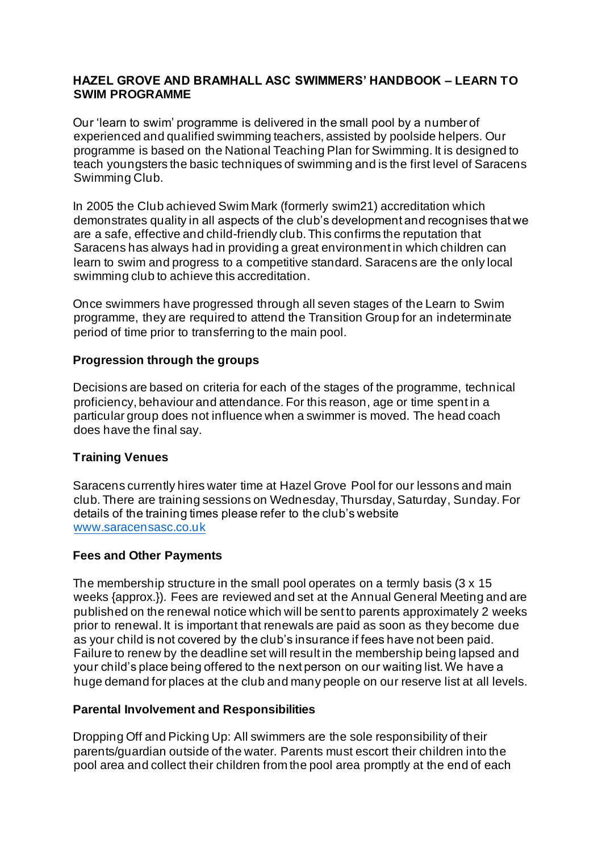### **HAZEL GROVE AND BRAMHALL ASC SWIMMERS' HANDBOOK – LEARN TO SWIM PROGRAMME**

Our 'learn to swim' programme is delivered in the small pool by a number of experienced and qualified swimming teachers, assisted by poolside helpers. Our programme is based on the National Teaching Plan for Swimming. It is designed to teach youngsters the basic techniques of swimming and is the first level of Saracens Swimming Club.

In 2005 the Club achieved Swim Mark (formerly swim21) accreditation which demonstrates quality in all aspects of the club's development and recognises that we are a safe, effective and child-friendly club. This confirms the reputation that Saracens has always had in providing a great environment in which children can learn to swim and progress to a competitive standard. Saracens are the only local swimming club to achieve this accreditation.

Once swimmers have progressed through all seven stages of the Learn to Swim programme, they are required to attend the Transition Group for an indeterminate period of time prior to transferring to the main pool.

## **Progression through the groups**

Decisions are based on criteria for each of the stages of the programme, technical proficiency, behaviour and attendance. For this reason, age or time spent in a particular group does not influence when a swimmer is moved. The head coach does have the final say.

# **Training Venues**

Saracens currently hires water time at Hazel Grove Pool for our lessons and main club. There are training sessions on Wednesday, Thursday, Saturday, Sunday. For details of the training times please refer to the club's website [www.saracensasc.co.uk](http://www.saracensasc.co.uk/)

### **Fees and Other Payments**

The membership structure in the small pool operates on a termly basis (3 x 15 weeks {approx.}). Fees are reviewed and set at the Annual General Meeting and are published on the renewal notice which will be sent to parents approximately 2 weeks prior to renewal. It is important that renewals are paid as soon as they become due as your child is not covered by the club's insurance if fees have not been paid. Failure to renew by the deadline set will result in the membership being lapsed and your child's place being offered to the next person on our waiting list. We have a huge demand for places at the club and many people on our reserve list at all levels.

### **Parental Involvement and Responsibilities**

Dropping Off and Picking Up: All swimmers are the sole responsibility of their parents/guardian outside of the water. Parents must escort their children into the pool area and collect their children from the pool area promptly at the end of each